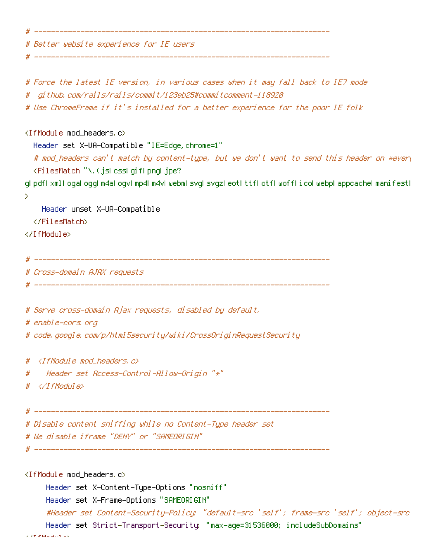# Better website experience for IE users

#

```
# ___________________________
```

```
# Force the latest IE version, in various cases when it may fall back to IE7 mode
# github.com/rails/rails/commit/123eb25#commitcomment-118920
# Use ChromeFrame if it's installed for a better experience for the poor IE folk
\langleIfModule mod headers, c\rangleHeader set X-UA-Compatible "IE=Edge, chrome=1"
 # mod_headers can't match by content-type, but we don't want to send this header on *every
 <FilesMatch "\.(jslcsslgiflpngljpe?
glipdflixmli ogal ogglim4al ogvlimp4lm4vliwebmlisvglisvgzlieotlittfliotfliwofflicoliwebpliappcachelmanifestli
\mathcal{P}Header unset X-UA-Compatible
 </FilesMatch>
</TifModule>
# Cross-domain AJAX requests
 # Serve cross-domain Ajax requests, disabled by default.
# enable-cors, ord
# code, google, com/p/html5security/wiki/CrossOriginRequestSecurity
# <IfModule mod headers, c>
  " Header set Access-Control-Allow-Origin "*"
## </IfModule>
# Disable content sniffing while no Content-Type header set
# We disable iframe "DENY" or "SAMEORIGIN"
<IfModule mod_headers.c>
```
Header set X-Content-Type-Options "nosniff" Header set X-Frame-Options "SAMEORIGIN" #Header set Content-Security-Policy; "default-src 'self'; frame-src 'self'; object-src Header set Strict-Transport-Security: "max-age=31536000; includeSubDomains"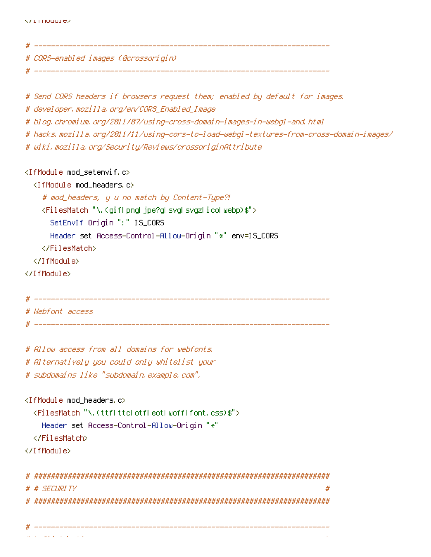```
# --------------------------
# CORS-enabled images (@crossorigin)
# --------------------
# Send CORS headers if browsers request them; enabled by default for images.
# developer, mozilla, org/en/CORS_Enabled_Image
# blog.chromium.org/2011/07/using-cross-domain-images-in-webgl-and.html
# hacks.mozilla.org/2011/11/using-cors-to-load-webgl-textures-from-cross-domain-images/
# wiki.mozilla.org/Security/Reviews/crossoriginAttribute
<IfModule mod setenvif.c>
 <IfModule mod headers.c>
   # mod_headers, y u no match by Content-Type?!
   <FilesMatch "\.(giflpngl jpe?gl svgl svgzlicolwebp)$">
     SetEnvIf Origin ":" IS_CORS
     Header set Access-Control-Allow-Origin "*" env=IS_CORS
   </FilesMatch>
 </TifModule>
</IfModule>
# Webfont access
```
# Allow access from all domains for webfonts, # Alternatively you could only whitelist your

# subdomains like "subdomain, example, com",

```
<IfModule mod headers.c>
```

```
<FilesMatch "\.(ttflttclotfleotlwofflfont.css)$">
```

```
Header set Access-Control-Allow-Origin "*"
```
</FilesMatch>

```
</IfModule>
```

```
# # SECURITY
      #
```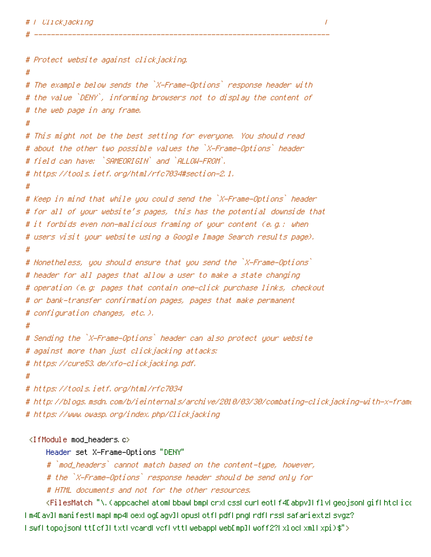```
# Protect website against clickjacking.
#
# The example below sends the `X-Frame-Options` response header with
# the value `DENY`, informing browsers not to display the content of
# the web page in any frame.
# This might not be the best setting for everyone. You should read
# about the other two possible values the `X-Frame-Options` header
# field can have: `SAMEORIGIN` and `ALLOW-FROM`.
# https://tools.ietf.org/html/rfc7034#section-2.1.
#
# Keep in mind that while you could send the `X-Frame-Options` header
# for all of your website's pages, this has the potential downside that
# it forbids even non-malicious framing of your content (e.g.: when
# users visit your website using a Google Image Search results page).
#
# Nonetheless, you should ensure that you send the `X-Frame-Options`
# header for all pages that allow a user to make a state changing
# operation (e.g: pages that contain one-click purchase links, checkout
# or bank-transfer confirmation pages, pages that make permanent
# configuration changes, etc.),
#
# Sending the `X-Frame-Options` header can also protect your website
# against more than just clickjacking attacks:
# https://cure53.de/xfo-clickjacking.pdf.
#
# https://tools.ietf.org/html/rfc7034
# http://blogs.msdn.com/b/ieinternals/archive/2010/03/30/combating-clickjacking-with-x-frame
# https://www.owasp.org/index.php/Clickjacking
```

```
<IfModule mod_headers c>
```
Header set X-Frame-Options "DENY"

# `mod\_headers` cannot match based on the content-type, however,

# the `X-Frame-Options` response header should be send only for

# HTML documents and not for the other resources,

<FilesMatch "\.(appcacheLatomLbbawLbmpLcrxLcssLcurLeotLf4EabpvILflvLgeojsonLgifLhtcLico Im4EavIImanifestImapLmp4LoexLogEagvILopusLotfLpdfLpngLrdfLrssLsafariextzLsvgz? (swfltopojsonLttEcf]LtxtLvcardLvcfLvttLwebappLwebEmp]Lwoff2?ExLocExmlExpi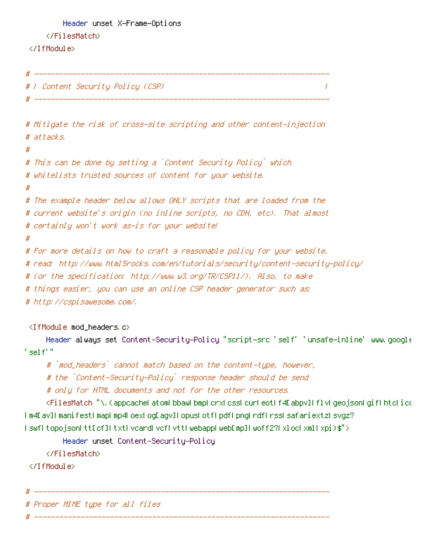```
Header unset X-Frame-Options
    </FilesMatch>
</TfModule>
```

```
# F Content Security Policy (CSP) #
                                                                     \prime# ----------------------
# Mitigate the risk of cross-site scripting and other content-injection
# \exists t \land \exists c \not k \leq tĦ
# This can be done by setting a `Content Security Policy` which
# whitelists trusted sources of content for your website.
\boldsymbol{\#}# The example header below allows ONLY scripts that are loaded from the
# current website's origin (no inline scripts, no CDN, etc). That almost
# certainly won't work as-is for your website!
\boldsymbol{\#}# For more details on how to craft a reasonable policy for your website,
# read: http://www.html5rocks.com/en/tutorials/security/content-security-policy/
# (or the specification: http://www.w3.org/TR/CSP11/), Also, to make
# things easier, you can use an online CSP header generator such as:
# http://cspisawesome.com/.
<IfModule mod headers.c>
    Header always set Content-Security-Policy "script-src 'self' 'unsafe-inline' www.google
^{\prime} self^{\prime} ".
     #`mod_headers` cannot match based on the content-type, however,
     # the `Content-Security-Policy` response header should be send
     # only for HTML documents and not for the other resources.
     <FilesMatch "\.(appcacheLatomLbbawLbmpLcrxLcssLcurLeotLf4EabpyILflvLqeo.jsonLqifLhtcLico
[m4[av][manifest[map]mp4]oex[oq[aqv][opus]otf[pdf[pnq[rdf]rss[safariextz]syqz?]
lswfltopojsonLtt[cf]LtxtLycardLycfLyttLwebappLweb[mp]Lwoff2?LxlocLxmlLxpi)$">
        Header unset Content-Security-Policy
     </FilesMatch>
</TfModule>
# Proper MIME tupe for all files
```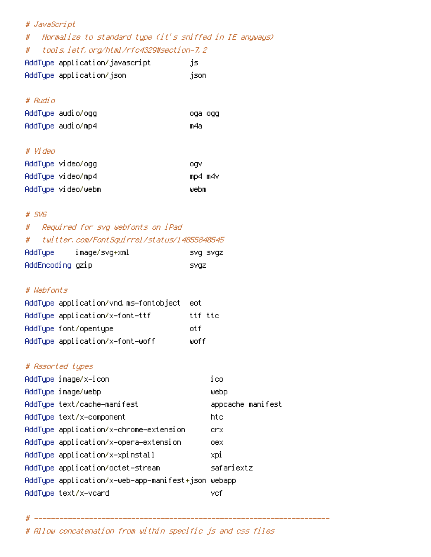| # JavaScript                                                 |                   |  |
|--------------------------------------------------------------|-------------------|--|
| Normalize to standard type (it's sniffed in IE anyways)<br># |                   |  |
| tools.ietf.org/html/rfc4329#section-7.2<br>#                 |                   |  |
| AddType application/javascript                               | js                |  |
| AddType application/json                                     | json              |  |
|                                                              |                   |  |
| # Audio                                                      |                   |  |
| AddType audio/ogg                                            | oga ogg           |  |
| AddType audio/mp4                                            | m4a               |  |
|                                                              |                   |  |
| # Video                                                      |                   |  |
| AddType video/ogg                                            | ogv               |  |
| AddType video/mp4                                            | mp4 m4v           |  |
| AddTupe video/webm                                           | webm              |  |
|                                                              |                   |  |
| $#$ SVG                                                      |                   |  |
| Required for svg webfonts on iPad<br>#                       |                   |  |
| twitter, com/FontSquirrel/status/14855840545<br>#            |                   |  |
| AddType image/svg+xml                                        | SVQ SVQZ          |  |
| AddEncoding gzip                                             | <b>SVGZ</b>       |  |
| # Webfonts                                                   |                   |  |
| AddType application/vnd.ms-fontobject                        | eot               |  |
| AddType application/x-font-ttf                               | ttf ttc           |  |
| AddType font/opentype                                        | otf               |  |
| AddType application/x-font-woff                              | ⊎off              |  |
|                                                              |                   |  |
| # Assorted types                                             |                   |  |
| AddType image/x-icon                                         | ico               |  |
| AddType image/webp                                           | webp              |  |
| AddType text/cache-manifest                                  | appcache manifest |  |
| AddType text/x-component                                     | htc               |  |
| AddType application/x-chrome-extension                       | crx               |  |
| AddType application/x-opera-extension                        | оех               |  |
| AddType application/x-xpinstall                              | xpi               |  |
| AddType application/octet-stream                             | safariextz        |  |
| AddType application/x-web-app-manifest+json webapp           |                   |  |
| AddType text/x-vcard                                         | vef               |  |

 $#$  ------------

# Allow concatenation from within specific js and css files

\_\_\_\_\_\_\_\_\_\_\_\_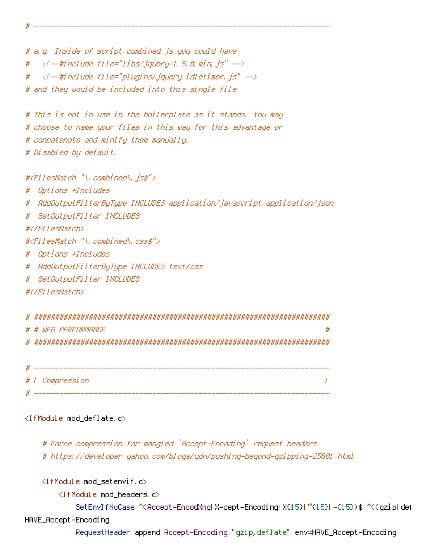# e.g. Inside of script, combined, js you could have  $\prec$ ! --#include file="libs/jquery-1.5.0.min.js" --> #  $\prec$ ! --#include file="plugins/jquery.idletimer.js" --> # # and they would be included into this single file.

```
# This is not in use in the boilerplate as it stands. You may
# choose to name your files in this way for this advantage or
# concatenate and minify them manually.
# Disabled by default,
```
#<FilesMatch "\.combined\.js\$">

- # Options +Includes
- # AddOutputFilterByType INCLUDES application/javascript application/json
- # SetOutputFilter INCLUDES

#</FilesMatch>

#<FilesMatch "\, combined\, css\$">

- # Options +Includes
- # AddOutputFilterByType INCLUDES text/css
- # SetOutputFilter INCLUDES

#</FilesMatch>

Щ

| # # WFR PFRFNRMANCF | # |
|---------------------|---|
|                     |   |
|                     |   |

| 11                            |                        |  |
|-------------------------------|------------------------|--|
|                               | # <i>I Compression</i> |  |
| $\overline{\boldsymbol{\mu}}$ |                        |  |

## <IfModule mod\_deflate.c>

# Force compression for mangled `Accept-Encoding` request headers # https://developer.yahoo.com/blogs/ydn/pushing-beyond-gzipping-25601.html

<IfModule mod\_setenvif.c>

```
<IfModule mod_headers.c>
```
SetEnvIfNoCase ^(Accept-EncodXngl X-cept-Encodingl X(15)I ^(15)I -(15))\$ ^((gziplidef HAVE\_Accept-Encoding

RequestHeader append Accept-Encoding "gzip,deflate" env=HAVE\_Accept-Encoding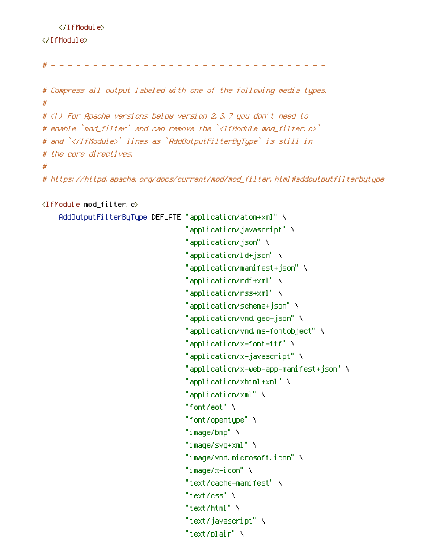</IfModule> </TfModule>

```
<u>. . . . . . . . . . .</u>
                                               <u>a a a a a a a a</u>
H = -
```

```
# Compress all output labeled with one of the following media types.
\pmb{\#}# (!) For Apache versions below version 2,3,7 you don't need to
# enable `mod_filter` and can remove the `<IfModule mod_filter.c>`
# and `</IfModule>` lines as `AddOutputFilterBuTupe` is still in
# the core directives.
## https://httpd.apache.org/docs/current/mod/mod_filter.html#addoutputfilterbytype
```

```
<IfModule mod filter.c>
```

```
AddOutputFilterByType DEFLATE "application/atom+xml" \
                                "application/javascript" \
                                "application/json" \
                                "application/ld+json" \
                                "application/manifest+json" \
                                "application/rdf+xml" \
                                "application/rss+xml" \
                                "application/schema+json" \
                                "application/vnd.geo+json" \
                                "application/vnd.ms-fontobject" \
                                "application/x-font-ttf" \
                                "application/x-javascript" \
                                "application/x-web-app-manifest+json" \
                                "application/xhtml+xml" \
                                "application/xml" \
                                "font/eot" \
                                "font/opentupe"\
                                "inner/Imp" \ \backslash"inner/svq+xml" \ \backslash"image/vnd.microsoft.icon" \
                                "image/x-icon" \setminus"text/cache-manifest" \
```

```
"text/css" \
```

```
"text/html" \
```

```
"text/javascript" \
```

```
"text/plain" \
```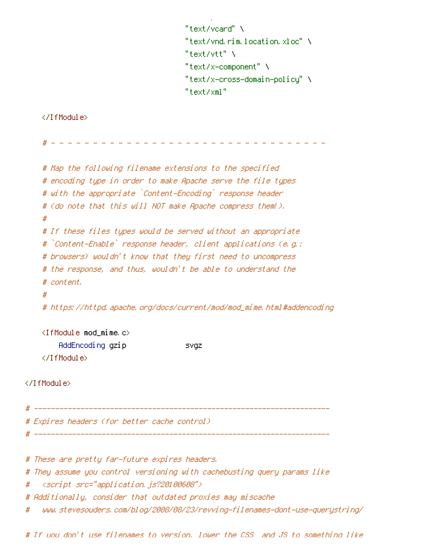```
"text/vcard" \
"text/vnd.rim.location.xloc" \
"text/vtt" \
"text/x-component" \
"text/x-cross-domain-policy" \
"text/xml"
```
</IfModule>

```
# Map the following filename extensions to the specified
   # encoding type in order to make Apache serve the file types
   # with the appropriate `Content-Encoding` response header
   # (do note that this will NOT make Apache compress them!).
   ## If these files types would be served without an appropriate
   # `Content-Enable` response header, client applications (e.g.;
   # browsers) wouldn't know that they first need to uncompress
   # the response, and thus, wouldn't be able to understand the
   # content,
   ## https://httpd.apache.org/docs/current/mod/mod_mime.html#addencoding
   <IfModule mod_mime.c>
      </IfModule>
</IfModule>
# Expires headers (for better cache control).
 # These are pretty far-future expires headers.
# They assume you control versioning with cachebusting query params like
```

```
//script_src="application.js?20100608">
#
```
# Additionally, consider that outdated proxies may miscache

www.stevesouders.com/blog/2008/08/23/revving-filenames-dont-use-querystring/ #

# If uou don't use filenames to version. lower the CSS and JS to something like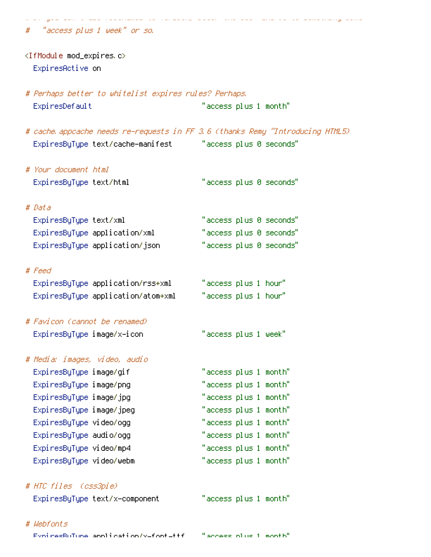"access plus 1 week" or so.

<IfModule mod\_expires.c> ExpiresActive on

# Perhaps better to whitelist expires rules? Perhaps, ExpiresDefault "access plus 1 month"

# cache appcache needs re-requests in FF 3.6 (thanks Remy "Introducing HTML5) "access plus 0 seconds" ExpiresByType text/cache-manifest

# Your document html "access plus 0 seconds" ExpiresByType text/html

# Data

ExpiresByType text/xml "access plus 0 seconds" "access plus 0 seconds" ExpiresByType application/xml "access plus 0 seconds" ExpiresByType application/json

# Feed

"access plus 1 hour" ExpiresByType application/rss+xml ExpiresByType application/atom+xml "access plus 1 hour"

# Favicon (cannot be renamed) ExpiresByType image/x-icon

# Media: images, video, audio ExpiresByType image/gif ExpiresByType image/png ExpiresByType image/jpg ExpiresByType image/jpeg ExpiresByType video/ogg ExpiresByType audio/ogg ExpiresByType video/mp4 ExpiresByType video/webm

# HTC files (css3pie)

ExpiresByType text/x-component

"access plus 1 month"

"access plus 1 week"

"access plus 1 month" "access plus 1 month"

"access plus 1 month"

"access plus 1 month"

"access plus 1 month" "access plus 1 month"

"access plus 1 month"

"access plus 1 month"

# Wehfants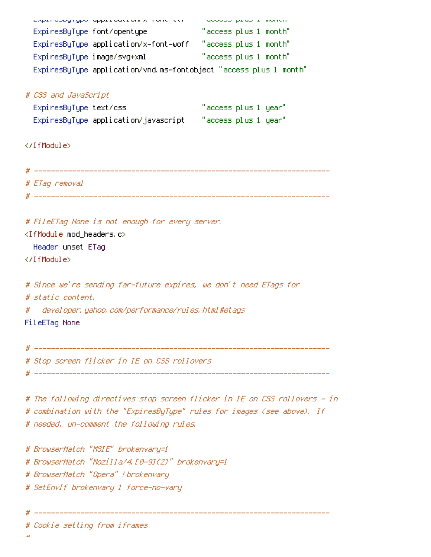| Expressional approachement and the context of the second context. |                       |
|-------------------------------------------------------------------|-----------------------|
| ExpiresByType font/opentype                                       | "access plus 1 month" |
| ExpiresByType application/x-font-woff                             | "access plus 1 month" |
| ExpiresByType image/svg+xml                                       | "access plus 1 month" |
| ExpiresByType application/vnd.ms-fontobject "access plus 1 month" |                       |
|                                                                   |                       |
| # CSS and JavaScript                                              |                       |
| ExpiresByType text/css                                            | "access plus 1 year"  |
| ExpiresByType application/javascript == "access plus 1 year"      |                       |
|                                                                   |                       |
|                                                                   |                       |
|                                                                   |                       |
|                                                                   |                       |
| # ETag removal                                                    |                       |
|                                                                   |                       |
|                                                                   |                       |
| # FileETag None is not enough for every server.                   |                       |
| <ifmodule mod_headers.c=""></ifmodule>                            |                       |
| Header unset ETag                                                 |                       |
|                                                                   |                       |
|                                                                   |                       |
| # Since we're sending far-future expires, we don't need ETags for |                       |
| # static content.                                                 |                       |
| # developer, yahoo, com/performance/rules, html#etags             |                       |
| FileETag None                                                     |                       |
|                                                                   |                       |
|                                                                   |                       |
| # Stop screen flicker in IE on CSS rollovers                      |                       |

# The following directives stop screen flicker in IE on CSS rollovers - in # combination with the "ExpiresByType" rules for images (see above). If # needed, un-comment the following rules.

# BrowserMatch "MSIE" brokenvary=1 # BrowserMatch "Mozilla/4.10-91(2)" brokenvary=1 # BrowserMatch "Opera" ! brokenvary # SetEnvIf brokenvary 1 force-no-vary

# Cookie setting from iframes

 $\overline{u}$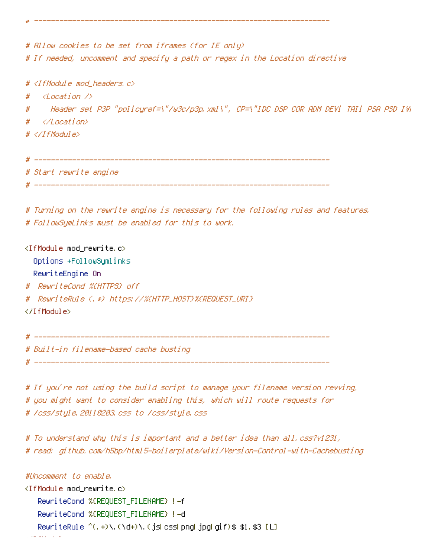|   | # Allow cookies to be set from iframes (for IE only)<br># If needed, uncomment and specify a path or regex in the Location directive |
|---|--------------------------------------------------------------------------------------------------------------------------------------|
| # | # <ifmodule mod_headers.c=""><br/>Klincation XX</ifmodule>                                                                           |
| # | Header set P3P "policyref=\"/w3c/p3p.xml\", CP=\"IDC DSP COR ADM DEVi TAIi PSA PSD IVA                                               |
| # |                                                                                                                                      |
|   | #                                                                                                                                    |
|   |                                                                                                                                      |

# Turning on the rewrite engine is necessary for the following rules and features. # FollowSymLinks must be enabled for this to work.

<IfModule mod rewrite.c> Options +FollowSymlinks RewriteEngine On # RewriteCond %(HTTPS) off # RewriteRule (, \*) https://%CHTTP\_HOST}%CREQUEST\_URI} </IfModule>

# Start rewrite engine

\_\_\_\_\_\_\_\_\_\_\_\_\_\_\_\_\_\_\_\_\_\_\_\_\_\_\_\_\_\_\_  $\#$  -------# Built-in filename-based cache busting 

# If you're not using the build script to manage your filename version revving, # you might want to consider enabling this, which will route requests for # /css/style.20110203.css to /css/style.css

# To understand why this is important and a better idea than all.css?v1231, # read: github.com/h5bp/html5-boilerplate/wiki/Version-Control-with-Cachebusting

```
#Uncomment to enable,
<IfModule mod_rewrite.c>
   RewriteCond %(REQUEST_FILENAME) !- f
   RewriteCond %(REQUEST FILENAME) !-d
   RewriteRule ^(,+)\,(\d+)\,(jsLcssLpnqLjpqLqif)$ $1,$3 [L]
```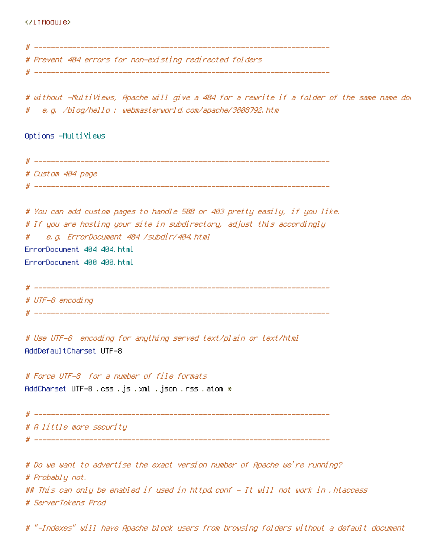# Prevent 404 errors for non-existing redirected folders. # without -MultiViews, Apache will give a 404 for a rewrite if a folder of the same name dow e.g. /blog/hello : webmasterworld.com/apache/3808792.htm # Options -MultiViews # Custom 404 page # You can add custom pages to handle 500 or 403 pretty easily, if you like. # If you are hosting your site in subdirectory, adjust this accordingly e.g. ErrorDocument 404 /subdir/404.html  $#$ ErrorDocument 404 404.html ErrorDocument 400 400.html # UTF-8 encoding # Use UTF-8 encoding for anything served text/plain or text/html AddDefaultCharset UTF-8 # Force UTF-8 for a number of file formats AddCharset UTF−8 .css .js .xml .json .rss .atom \* # A little more security # Do we want to advertise the exact version number of Apache we're running? # Probably not. ## This can only be enabled if used in httpd.conf - It will not work in .htaccess

# ServerTokens Prod

# "-Indexes" will have Apache block users from browsing folders without a default document